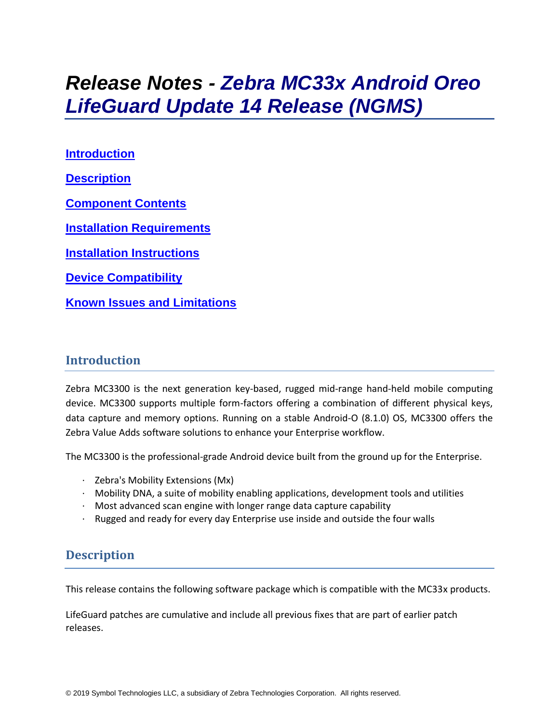# *Release Notes - Zebra MC33x Android Oreo LifeGuard Update 14 Release (NGMS)*

**[Introduction](#page-0-0) [Description](#page-0-1) [Component Contents](#page-1-0) [Installation Requirements](#page-4-0) [Installation Instructions](#page-4-1) [Device Compatibility](#page-6-0) Known [Issues and Limitations](#page-8-0)**

## <span id="page-0-0"></span>**Introduction**

Zebra MC3300 is the next generation key-based, rugged mid-range hand-held mobile computing device. MC3300 supports multiple form-factors offering a combination of different physical keys, data capture and memory options. Running on a stable Android-O (8.1.0) OS, MC3300 offers the Zebra Value Adds software solutions to enhance your Enterprise workflow.

The MC3300 is the professional-grade Android device built from the ground up for the Enterprise.

- · Zebra's Mobility Extensions (Mx)
- $\cdot$  Mobility DNA, a suite of mobility enabling applications, development tools and utilities
- · Most advanced scan engine with longer range data capture capability
- <span id="page-0-1"></span>Rugged and ready for every day Enterprise use inside and outside the four walls

## **Description**

This release contains the following software package which is compatible with the MC33x products.

LifeGuard patches are cumulative and include all previous fixes that are part of earlier patch releases.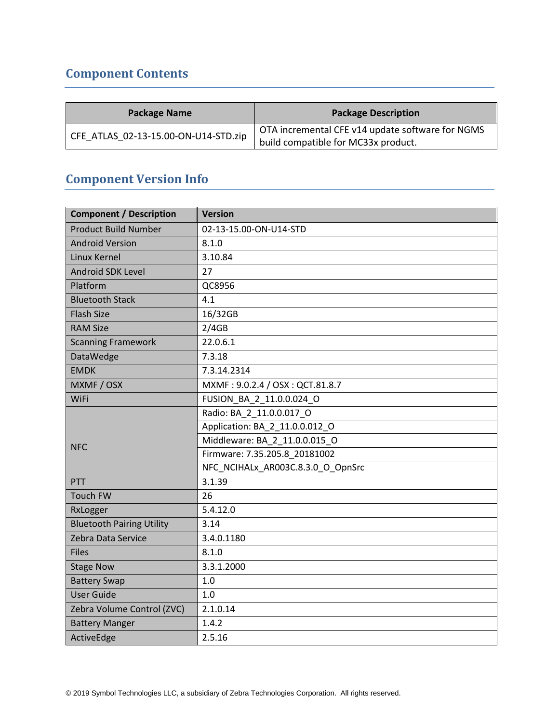## <span id="page-1-0"></span>**Component Contents**

| <b>Package Name</b>                  | <b>Package Description</b>                       |  |  |
|--------------------------------------|--------------------------------------------------|--|--|
| CFE ATLAS 02-13-15.00-ON-U14-STD.zip | OTA incremental CFE v14 update software for NGMS |  |  |
|                                      | build compatible for MC33x product.              |  |  |

## **Component Version Info**

| <b>Component / Description</b>   | <b>Version</b>                    |  |  |  |
|----------------------------------|-----------------------------------|--|--|--|
| <b>Product Build Number</b>      | 02-13-15.00-ON-U14-STD            |  |  |  |
| <b>Android Version</b>           | 8.1.0                             |  |  |  |
| Linux Kernel                     | 3.10.84                           |  |  |  |
| Android SDK Level                | 27                                |  |  |  |
| Platform                         | QC8956                            |  |  |  |
| <b>Bluetooth Stack</b>           | 4.1                               |  |  |  |
| <b>Flash Size</b>                | 16/32GB                           |  |  |  |
| <b>RAM Size</b>                  | 2/4GB                             |  |  |  |
| <b>Scanning Framework</b>        | 22.0.6.1                          |  |  |  |
| DataWedge                        | 7.3.18                            |  |  |  |
| <b>EMDK</b>                      | 7.3.14.2314                       |  |  |  |
| MXMF / OSX                       | MXMF: 9.0.2.4 / OSX: QCT.81.8.7   |  |  |  |
| WiFi                             | FUSION_BA_2_11.0.0.024_O          |  |  |  |
| <b>NFC</b>                       | Radio: BA 2 11.0.0.017 O          |  |  |  |
|                                  | Application: BA_2_11.0.0.012 O    |  |  |  |
|                                  | Middleware: BA 2 11.0.0.015 O     |  |  |  |
|                                  | Firmware: 7.35.205.8 20181002     |  |  |  |
|                                  | NFC_NCIHALx_AR003C.8.3.0_O_OpnSrc |  |  |  |
| <b>PTT</b>                       | 3.1.39                            |  |  |  |
| <b>Touch FW</b>                  | 26                                |  |  |  |
| RxLogger                         | 5.4.12.0                          |  |  |  |
| <b>Bluetooth Pairing Utility</b> | 3.14                              |  |  |  |
| Zebra Data Service               | 3.4.0.1180                        |  |  |  |
| <b>Files</b>                     | 8.1.0                             |  |  |  |
| <b>Stage Now</b>                 | 3.3.1.2000                        |  |  |  |
| <b>Battery Swap</b>              | 1.0                               |  |  |  |
| <b>User Guide</b>                | 1.0                               |  |  |  |
| Zebra Volume Control (ZVC)       | 2.1.0.14                          |  |  |  |
| <b>Battery Manger</b>            | 1.4.2                             |  |  |  |
| ActiveEdge                       | 2.5.16                            |  |  |  |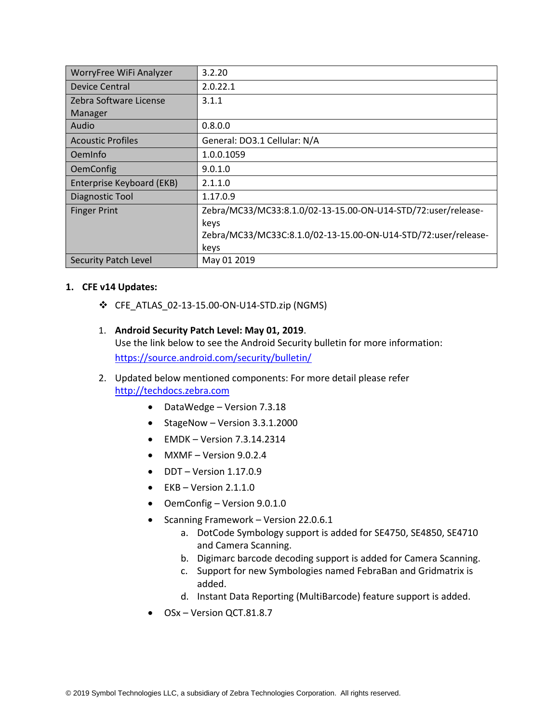| WorryFree WiFi Analyzer     | 3.2.20                                                         |
|-----------------------------|----------------------------------------------------------------|
| Device Central              | 2.0.22.1                                                       |
| Zebra Software License      | 3.1.1                                                          |
| Manager                     |                                                                |
| Audio                       | 0.8.0.0                                                        |
| <b>Acoustic Profiles</b>    | General: DO3.1 Cellular: N/A                                   |
| OemInfo                     | 1.0.0.1059                                                     |
| <b>OemConfig</b>            | 9.0.1.0                                                        |
| Enterprise Keyboard (EKB)   | 2.1.1.0                                                        |
| Diagnostic Tool             | 1.17.0.9                                                       |
| <b>Finger Print</b>         | Zebra/MC33/MC33:8.1.0/02-13-15.00-ON-U14-STD/72:user/release-  |
|                             | keys                                                           |
|                             | Zebra/MC33/MC33C:8.1.0/02-13-15.00-ON-U14-STD/72:user/release- |
|                             | keys                                                           |
| <b>Security Patch Level</b> | May 01 2019                                                    |

#### **1. CFE v14 Updates:**

- ❖ CFE\_ATLAS\_02-13-15.00-ON-U14-STD.zip (NGMS)
- 1. **Android Security Patch Level: May 01, 2019**. Use the link below to see the Android Security bulletin for more information: <https://source.android.com/security/bulletin/>
- 2. Updated below mentioned components: For more detail please refer [http://techdocs.zebra.com](http://techdocs.zebra.com/)
	- DataWedge Version 7.3.18
	- StageNow Version 3.3.1.2000
	- $\bullet$  EMDK Version 7.3.14.2314
	- $MXMF Version 9.0.2.4$
	- DDT Version 1.17.0.9
	- $\bullet$  EKB Version 2.1.1.0
	- OemConfig Version 9.0.1.0
	- Scanning Framework Version 22.0.6.1
		- a. DotCode Symbology support is added for SE4750, SE4850, SE4710 and Camera Scanning.
		- b. Digimarc barcode decoding support is added for Camera Scanning.
		- c. Support for new Symbologies named FebraBan and Gridmatrix is added.
		- d. Instant Data Reporting (MultiBarcode) feature support is added.
	- OSx Version QCT.81.8.7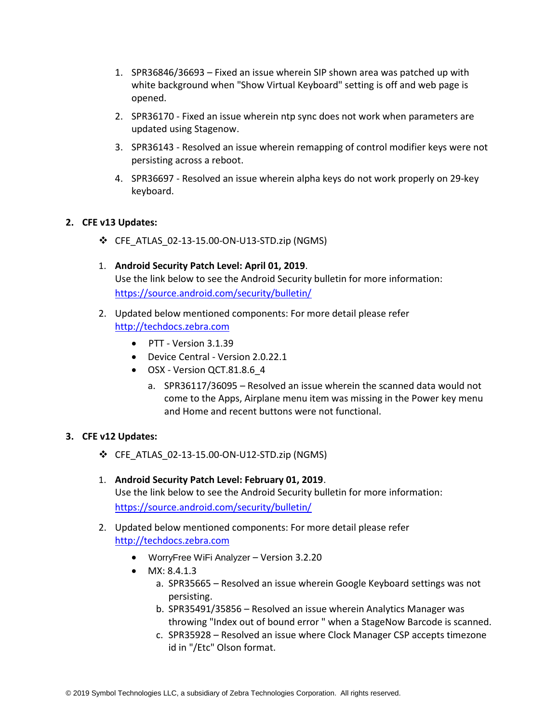- 1. SPR36846/36693 Fixed an issue wherein SIP shown area was patched up with white background when "Show Virtual Keyboard" setting is off and web page is opened.
- 2. SPR36170 Fixed an issue wherein ntp sync does not work when parameters are updated using Stagenow.
- 3. SPR36143 Resolved an issue wherein remapping of control modifier keys were not persisting across a reboot.
- 4. SPR36697 Resolved an issue wherein alpha keys do not work properly on 29-key keyboard.

#### **2. CFE v13 Updates:**

- ❖ CFE\_ATLAS\_02-13-15.00-ON-U13-STD.zip (NGMS)
- 1. **Android Security Patch Level: April 01, 2019**. Use the link below to see the Android Security bulletin for more information: <https://source.android.com/security/bulletin/>
- 2. Updated below mentioned components: For more detail please refer [http://techdocs.zebra.com](http://techdocs.zebra.com/)
	- PTT Version 3.1.39
	- Device Central Version 2.0.22.1
	- OSX Version QCT.81.8.6\_4
		- a. SPR36117/36095 Resolved an issue wherein the scanned data would not come to the Apps, Airplane menu item was missing in the Power key menu and Home and recent buttons were not functional.

#### **3. CFE v12 Updates:**

- ❖ CFE\_ATLAS\_02-13-15.00-ON-U12-STD.zip (NGMS)
- 1. **Android Security Patch Level: February 01, 2019**. Use the link below to see the Android Security bulletin for more information: <https://source.android.com/security/bulletin/>
- 2. Updated below mentioned components: For more detail please refer [http://techdocs.zebra.com](http://techdocs.zebra.com/)
	- WorryFree WiFi Analyzer Version 3.2.20
	- MX: 8.4.1.3
		- a. SPR35665 Resolved an issue wherein Google Keyboard settings was not persisting.
		- b. SPR35491/35856 Resolved an issue wherein Analytics Manager was throwing "Index out of bound error " when a StageNow Barcode is scanned.
		- c. SPR35928 Resolved an issue where Clock Manager CSP accepts timezone id in "/Etc" Olson format.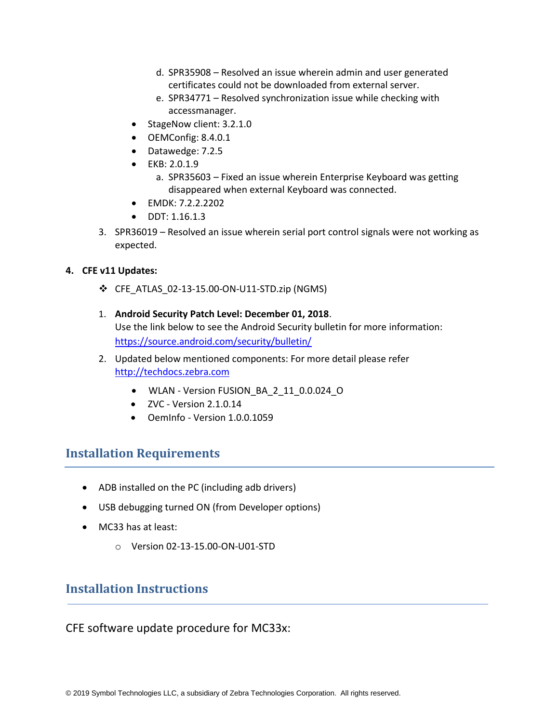- d. SPR35908 Resolved an issue wherein admin and user generated certificates could not be downloaded from external server.
- e. SPR34771 Resolved synchronization issue while checking with accessmanager.
- StageNow client: 3.2.1.0
- OEMConfig: 8.4.0.1
- Datawedge: 7.2.5
- EKB: 2.0.1.9
	- a. SPR35603 Fixed an issue wherein Enterprise Keyboard was getting disappeared when external Keyboard was connected.
- EMDK: 7.2.2.2202
- DDT: 1.16.1.3
- 3. SPR36019 Resolved an issue wherein serial port control signals were not working as expected.

#### **4. CFE v11 Updates:**

- ❖ CFE\_ATLAS\_02-13-15.00-ON-U11-STD.zip (NGMS)
- 1. **Android Security Patch Level: December 01, 2018**. Use the link below to see the Android Security bulletin for more information: <https://source.android.com/security/bulletin/>
- 2. Updated below mentioned components: For more detail please refer [http://techdocs.zebra.com](http://techdocs.zebra.com/)
	- WLAN Version FUSION\_BA\_2\_11\_0.0.024\_O
	- $\bullet$  ZVC Version 2.1.0.14
	- OemInfo Version 1.0.0.1059

### <span id="page-4-0"></span>**Installation Requirements**

- ADB installed on the PC (including adb drivers)
- USB debugging turned ON (from Developer options)
- MC33 has at least:
	- o Version 02-13-15.00-ON-U01-STD

### <span id="page-4-1"></span>**Installation Instructions**

CFE software update procedure for MC33x: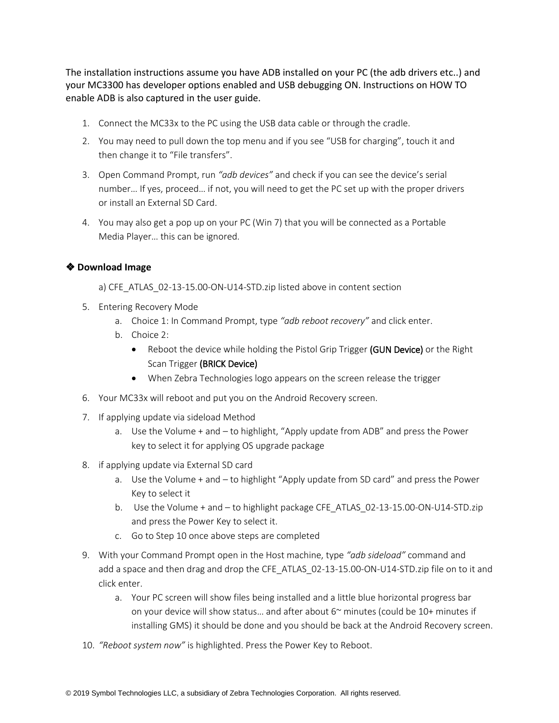The installation instructions assume you have ADB installed on your PC (the adb drivers etc..) and your MC3300 has developer options enabled and USB debugging ON. Instructions on HOW TO enable ADB is also captured in the user guide.

- 1. Connect the MC33x to the PC using the USB data cable or through the cradle.
- 2. You may need to pull down the top menu and if you see "USB for charging", touch it and then change it to "File transfers".
- 3. Open Command Prompt, run *"adb devices"* and check if you can see the device's serial number… If yes, proceed… if not, you will need to get the PC set up with the proper drivers or install an External SD Card.
- 4. You may also get a pop up on your PC (Win 7) that you will be connected as a Portable Media Player… this can be ignored.

#### ❖ **Download Image**

a) CFE\_ATLAS\_02-13-15.00-ON-U14-STD.zip listed above in content section

- 5. Entering Recovery Mode
	- a. Choice 1: In Command Prompt, type *"adb reboot recovery"* and click enter.
	- b. Choice 2:
		- Reboot the device while holding the Pistol Grip Trigger (GUN Device) or the Right Scan Trigger (BRICK Device)
		- When Zebra Technologies logo appears on the screen release the trigger
- 6. Your MC33x will reboot and put you on the Android Recovery screen.
- 7. If applying update via sideload Method
	- a. Use the Volume + and to highlight, "Apply update from ADB" and press the Power key to select it for applying OS upgrade package
- 8. if applying update via External SD card
	- a. Use the Volume + and to highlight "Apply update from SD card" and press the Power Key to select it
	- b. Use the Volume + and to highlight package CFE\_ATLAS\_02-13-15.00-ON-U14-STD.zip and press the Power Key to select it.
	- c. Go to Step 10 once above steps are completed
- 9. With your Command Prompt open in the Host machine, type *"adb sideload"* command and add a space and then drag and drop the CFE\_ATLAS\_02-13-15.00-ON-U14-STD.zip file on to it and click enter.
	- a. Your PC screen will show files being installed and a little blue horizontal progress bar on your device will show status... and after about  $6<sup>o</sup>$  minutes (could be 10+ minutes if installing GMS) it should be done and you should be back at the Android Recovery screen.
- 10. *"Reboot system now"* is highlighted. Press the Power Key to Reboot.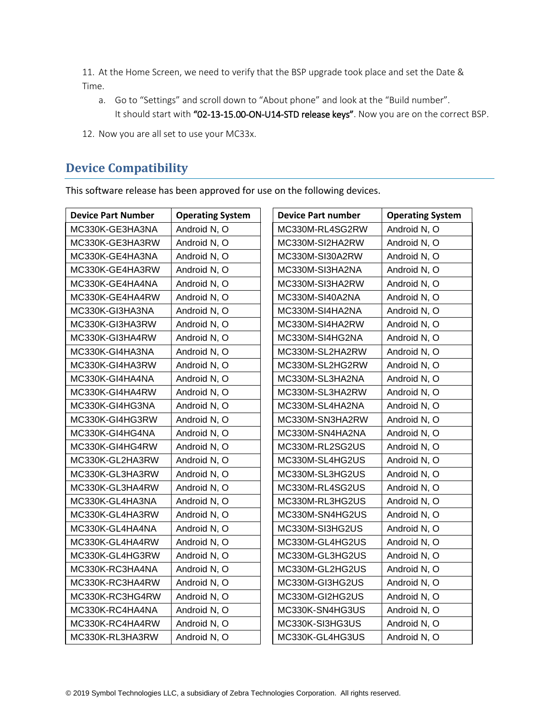11. At the Home Screen, we need to verify that the BSP upgrade took place and set the Date & Time.

- a. Go to "Settings" and scroll down to "About phone" and look at the "Build number". It should start with "02-13-15.00-ON-U14-STD release keys". Now you are on the correct BSP.
- 12. Now you are all set to use your MC33x.

## <span id="page-6-0"></span>**Device Compatibility**

This software release has been approved for use on the following devices.

| <b>Device Part Number</b> | <b>Operating System</b> | <b>Device Part number</b> | <b>Operating System</b> |
|---------------------------|-------------------------|---------------------------|-------------------------|
| MC330K-GE3HA3NA           | Android N, O            | MC330M-RL4SG2RW           | Android N, O            |
| MC330K-GE3HA3RW           | Android N, O            | MC330M-SI2HA2RW           | Android N, O            |
| MC330K-GE4HA3NA           | Android N, O            | MC330M-SI30A2RW           | Android N, O            |
| MC330K-GE4HA3RW           | Android N, O            | MC330M-SI3HA2NA           | Android N, O            |
| MC330K-GE4HA4NA           | Android N, O            | MC330M-SI3HA2RW           | Android N, O            |
| MC330K-GE4HA4RW           | Android N, O            | MC330M-SI40A2NA           | Android N, O            |
| MC330K-GI3HA3NA           | Android N, O            | MC330M-SI4HA2NA           | Android N, O            |
| MC330K-GI3HA3RW           | Android N, O            | MC330M-SI4HA2RW           | Android N, O            |
| MC330K-GI3HA4RW           | Android N, O            | MC330M-SI4HG2NA           | Android N, O            |
| MC330K-GI4HA3NA           | Android N, O            | MC330M-SL2HA2RW           | Android N, O            |
| MC330K-GI4HA3RW           | Android N, O            | MC330M-SL2HG2RW           | Android N, O            |
| MC330K-GI4HA4NA           | Android N, O            | MC330M-SL3HA2NA           | Android N, O            |
| MC330K-GI4HA4RW           | Android N, O            | MC330M-SL3HA2RW           | Android N, O            |
| MC330K-GI4HG3NA           | Android N, O            | MC330M-SL4HA2NA           | Android N, O            |
| MC330K-GI4HG3RW           | Android N, O            | MC330M-SN3HA2RW           | Android N, O            |
| MC330K-GI4HG4NA           | Android N, O            | MC330M-SN4HA2NA           | Android N, O            |
| MC330K-GI4HG4RW           | Android N, O            | MC330M-RL2SG2US           | Android N, O            |
| MC330K-GL2HA3RW           | Android N, O            | MC330M-SL4HG2US           | Android N, O            |
| MC330K-GL3HA3RW           | Android N, O            | MC330M-SL3HG2US           | Android N, O            |
| MC330K-GL3HA4RW           | Android N, O            | MC330M-RL4SG2US           | Android N, O            |
| MC330K-GL4HA3NA           | Android N, O            | MC330M-RL3HG2US           | Android N, O            |
| MC330K-GL4HA3RW           | Android N, O            | MC330M-SN4HG2US           | Android N, O            |
| MC330K-GL4HA4NA           | Android N, O            | MC330M-SI3HG2US           | Android N, O            |
| MC330K-GL4HA4RW           | Android N, O            | MC330M-GL4HG2US           | Android N, O            |
| MC330K-GL4HG3RW           | Android N, O            | MC330M-GL3HG2US           | Android N, O            |
| MC330K-RC3HA4NA           | Android N, O            | MC330M-GL2HG2US           | Android N, O            |
| MC330K-RC3HA4RW           | Android N, O            | MC330M-GI3HG2US           | Android N, O            |
| MC330K-RC3HG4RW           | Android N, O            | MC330M-GI2HG2US           | Android N, O            |
| MC330K-RC4HA4NA           | Android N, O            | MC330K-SN4HG3US           | Android N, O            |
| MC330K-RC4HA4RW           | Android N, O            | MC330K-SI3HG3US           | Android N, O            |
| MC330K-RL3HA3RW           | Android N, O            | MC330K-GL4HG3US           | Android N, O            |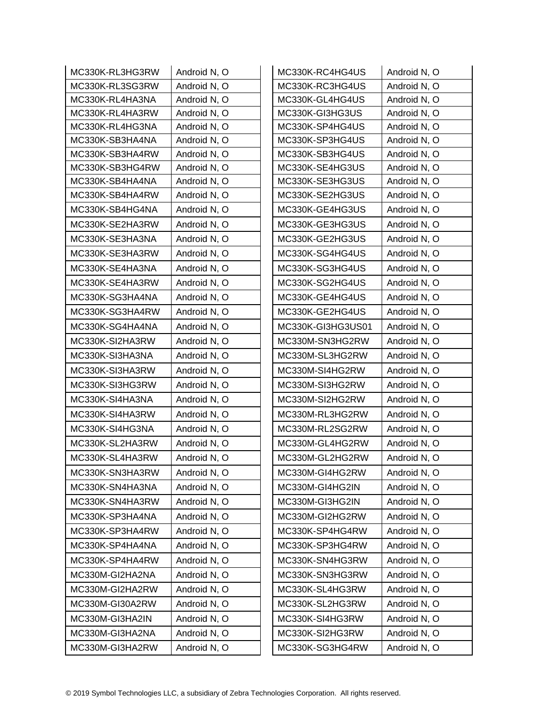| MC330K-RL3HG3RW | Android N, O | MC330K-RC4HG4US   | Android N, O |
|-----------------|--------------|-------------------|--------------|
| MC330K-RL3SG3RW | Android N, O | MC330K-RC3HG4US   | Android N, O |
| MC330K-RL4HA3NA | Android N, O | MC330K-GL4HG4US   | Android N, O |
| MC330K-RL4HA3RW | Android N, O | MC330K-GI3HG3US   | Android N, O |
| MC330K-RL4HG3NA | Android N, O | MC330K-SP4HG4US   | Android N, O |
| MC330K-SB3HA4NA | Android N, O | MC330K-SP3HG4US   | Android N, O |
| MC330K-SB3HA4RW | Android N, O | MC330K-SB3HG4US   | Android N, O |
| MC330K-SB3HG4RW | Android N, O | MC330K-SE4HG3US   | Android N, O |
| MC330K-SB4HA4NA | Android N, O | MC330K-SE3HG3US   | Android N, O |
| MC330K-SB4HA4RW | Android N, O | MC330K-SE2HG3US   | Android N, O |
| MC330K-SB4HG4NA | Android N, O | MC330K-GE4HG3US   | Android N, O |
| MC330K-SE2HA3RW | Android N, O | MC330K-GE3HG3US   | Android N, O |
| MC330K-SE3HA3NA | Android N, O | MC330K-GE2HG3US   | Android N, O |
| MC330K-SE3HA3RW | Android N, O | MC330K-SG4HG4US   | Android N, O |
| MC330K-SE4HA3NA | Android N, O | MC330K-SG3HG4US   | Android N, O |
| MC330K-SE4HA3RW | Android N, O | MC330K-SG2HG4US   | Android N, O |
| MC330K-SG3HA4NA | Android N, O | MC330K-GE4HG4US   | Android N, O |
| MC330K-SG3HA4RW | Android N, O | MC330K-GE2HG4US   | Android N, O |
| MC330K-SG4HA4NA | Android N, O | MC330K-GI3HG3US01 | Android N, O |
| MC330K-SI2HA3RW | Android N, O | MC330M-SN3HG2RW   | Android N, O |
| MC330K-SI3HA3NA | Android N, O | MC330M-SL3HG2RW   | Android N, O |
| MC330K-SI3HA3RW | Android N, O | MC330M-SI4HG2RW   | Android N, O |
| MC330K-SI3HG3RW | Android N, O | MC330M-SI3HG2RW   | Android N, O |
| MC330K-SI4HA3NA | Android N, O | MC330M-SI2HG2RW   | Android N, O |
| MC330K-SI4HA3RW | Android N, O | MC330M-RL3HG2RW   | Android N, O |
| MC330K-SI4HG3NA | Android N, O | MC330M-RL2SG2RW   | Android N, O |
| MC330K-SL2HA3RW | Android N, O | MC330M-GL4HG2RW   | Android N, O |
| MC330K-SL4HA3RW | Android N, O | MC330M-GL2HG2RW   | Android N, O |
| MC330K-SN3HA3RW | Android N, O | MC330M-GI4HG2RW   | Android N, O |
| MC330K-SN4HA3NA | Android N, O | MC330M-GI4HG2IN   | Android N, O |
| MC330K-SN4HA3RW | Android N, O | MC330M-GI3HG2IN   | Android N, O |
| MC330K-SP3HA4NA | Android N, O | MC330M-GI2HG2RW   | Android N, O |
| MC330K-SP3HA4RW | Android N, O | MC330K-SP4HG4RW   | Android N, O |
| MC330K-SP4HA4NA | Android N, O | MC330K-SP3HG4RW   | Android N, O |
| MC330K-SP4HA4RW | Android N, O | MC330K-SN4HG3RW   | Android N, O |
| MC330M-GI2HA2NA | Android N, O | MC330K-SN3HG3RW   | Android N, O |
| MC330M-GI2HA2RW | Android N, O | MC330K-SL4HG3RW   | Android N, O |
| MC330M-GI30A2RW | Android N, O | MC330K-SL2HG3RW   | Android N, O |
| MC330M-GI3HA2IN | Android N, O | MC330K-SI4HG3RW   | Android N, O |
| MC330M-GI3HA2NA | Android N, O | MC330K-SI2HG3RW   | Android N, O |
| MC330M-GI3HA2RW | Android N, O | MC330K-SG3HG4RW   | Android N, O |
|                 |              |                   |              |